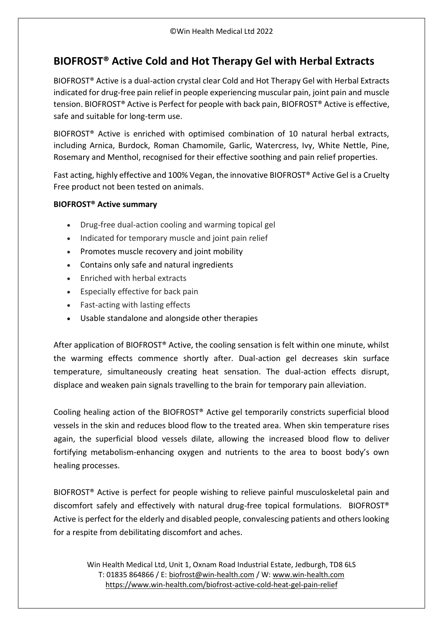## **BIOFROST® Active Cold and Hot Therapy Gel with Herbal Extracts**

BIOFROST® Active is a dual-action crystal clear Cold and Hot Therapy Gel with Herbal Extracts indicated for drug-free pain relief in people experiencing muscular pain, joint pain and muscle tension. BIOFROST® Active is Perfect for people with back pain, BIOFROST® Active is effective, safe and suitable for long-term use.

BIOFROST® Active is enriched with optimised combination of 10 natural herbal extracts, including Arnica, Burdock, Roman Chamomile, Garlic, Watercress, Ivy, White Nettle, Pine, Rosemary and Menthol, recognised for their effective soothing and pain relief properties.

Fast acting, highly effective and 100% Vegan, the innovative BIOFROST® Active Gel is a Cruelty Free product not been tested on animals.

## **BIOFROST® Active summary**

- Drug-free dual-action cooling and warming topical gel
- Indicated for temporary muscle and joint pain relief
- Promotes muscle recovery and joint mobility
- Contains only safe and natural ingredients
- Enriched with herbal extracts
- Especially effective for back pain
- Fast-acting with lasting effects
- Usable standalone and alongside other therapies

After application of BIOFROST® Active, the cooling sensation is felt within one minute, whilst the warming effects commence shortly after. Dual-action gel decreases skin surface temperature, simultaneously creating heat sensation. The dual-action effects disrupt, displace and weaken pain signals travelling to the brain for temporary pain alleviation.

Cooling healing action of the BIOFROST® Active gel temporarily constricts superficial blood vessels in the skin and reduces blood flow to the treated area. When skin temperature rises again, the superficial blood vessels dilate, allowing the increased blood flow to deliver fortifying metabolism-enhancing oxygen and nutrients to the area to boost body's own healing processes.

BIOFROST® Active is perfect for people wishing to relieve painful musculoskeletal pain and discomfort safely and effectively with natural drug-free topical formulations. BIOFROST® Active is perfect for the elderly and disabled people, convalescing patients and others looking for a respite from debilitating discomfort and aches.

Win Health Medical Ltd, Unit 1, Oxnam Road Industrial Estate, Jedburgh, TD8 6LS T: 01835 864866 / E: [biofrost@win-health.com](mailto:biofrost@win-health.com) / W: [www.win-health.com](http://www.win-health.com/) <https://www.win-health.com/biofrost-active-cold-heat-gel-pain-relief>